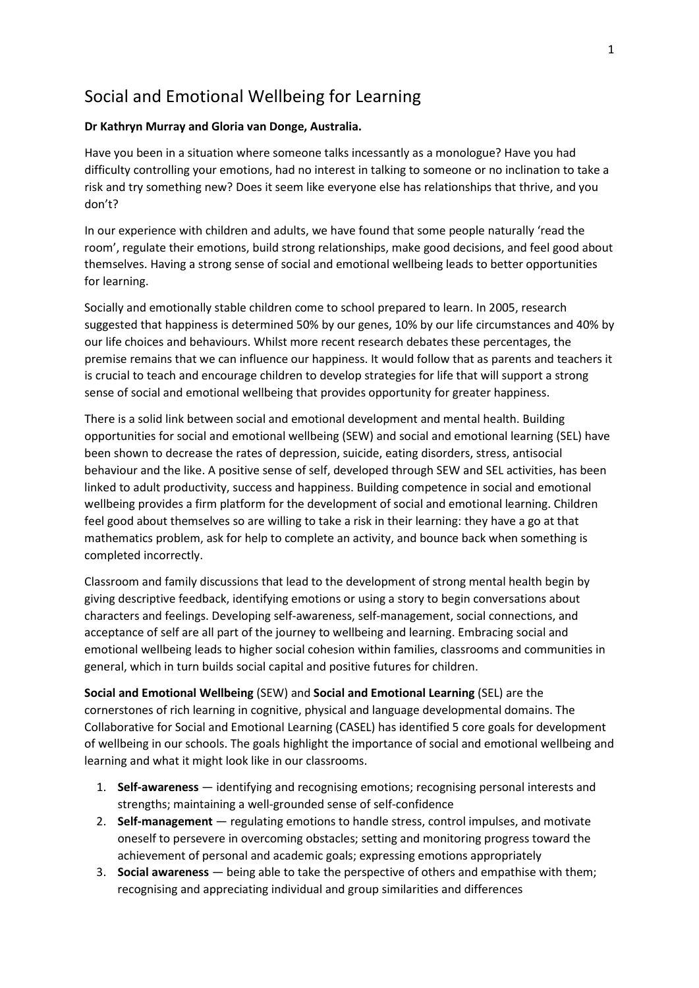# Social and Emotional Wellbeing for Learning

### **Dr Kathryn Murray and Gloria van Donge, Australia.**

Have you been in a situation where someone talks incessantly as a monologue? Have you had difficulty controlling your emotions, had no interest in talking to someone or no inclination to take a risk and try something new? Does it seem like everyone else has relationships that thrive, and you don't?

In our experience with children and adults, we have found that some people naturally 'read the room', regulate their emotions, build strong relationships, make good decisions, and feel good about themselves. Having a strong sense of social and emotional wellbeing leads to better opportunities for learning.

Socially and emotionally stable children come to school prepared to learn. In 2005, research suggested that happiness is determined 50% by our genes, 10% by our life circumstances and 40% by our life choices and behaviours. Whilst more recent research debates these percentages, the premise remains that we can influence our happiness. It would follow that as parents and teachers it is crucial to teach and encourage children to develop strategies for life that will support a strong sense of social and emotional wellbeing that provides opportunity for greater happiness.

There is a solid link between social and emotional development and mental health. Building opportunities for social and emotional wellbeing (SEW) and social and emotional learning (SEL) have been shown to decrease the rates of depression, suicide, eating disorders, stress, antisocial behaviour and the like. A positive sense of self, developed through SEW and SEL activities, has been linked to adult productivity, success and happiness. Building competence in social and emotional wellbeing provides a firm platform for the development of social and emotional learning. Children feel good about themselves so are willing to take a risk in their learning: they have a go at that mathematics problem, ask for help to complete an activity, and bounce back when something is completed incorrectly.

Classroom and family discussions that lead to the development of strong mental health begin by giving descriptive feedback, identifying emotions or using a story to begin conversations about characters and feelings. Developing self-awareness, self-management, social connections, and acceptance of self are all part of the journey to wellbeing and learning. Embracing social and emotional wellbeing leads to higher social cohesion within families, classrooms and communities in general, which in turn builds social capital and positive futures for children.

**Social and Emotional Wellbeing** (SEW) and **Social and Emotional Learning** (SEL) are the cornerstones of rich learning in cognitive, physical and language developmental domains. The Collaborative for Social and Emotional Learning (CASEL) has identified 5 core goals for development of wellbeing in our schools. The goals highlight the importance of social and emotional wellbeing and learning and what it might look like in our classrooms.

- 1. **Self-awareness** identifying and recognising emotions; recognising personal interests and strengths; maintaining a well-grounded sense of self-confidence
- 2. **Self-management** regulating emotions to handle stress, control impulses, and motivate oneself to persevere in overcoming obstacles; setting and monitoring progress toward the achievement of personal and academic goals; expressing emotions appropriately
- 3. **Social awareness** being able to take the perspective of others and empathise with them; recognising and appreciating individual and group similarities and differences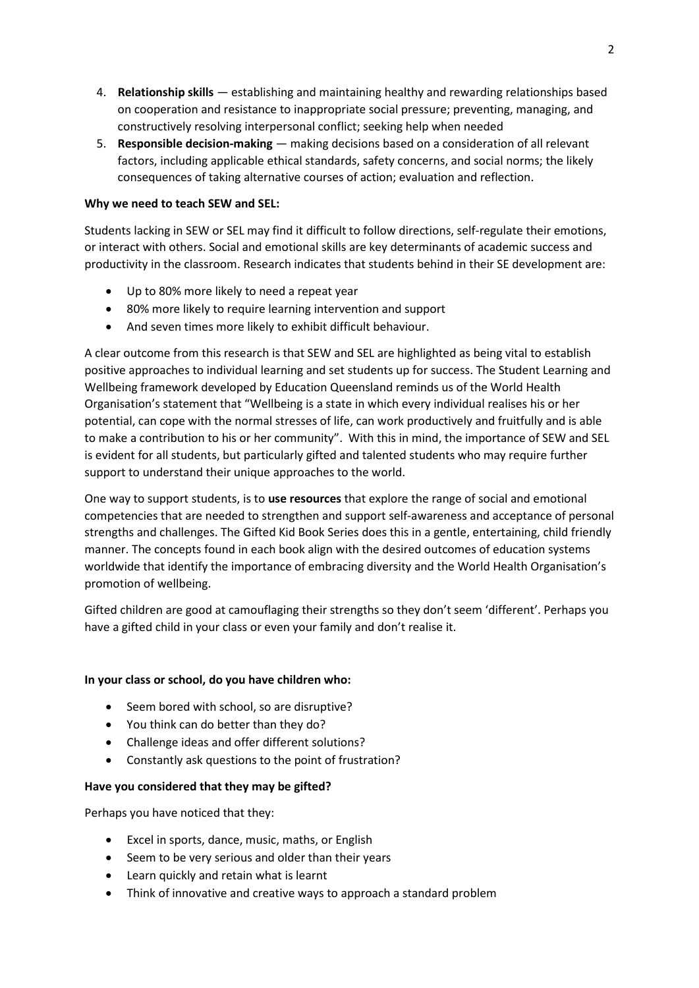- 4. **Relationship skills** establishing and maintaining healthy and rewarding relationships based on cooperation and resistance to inappropriate social pressure; preventing, managing, and constructively resolving interpersonal conflict; seeking help when needed
- 5. **Responsible decision-making** making decisions based on a consideration of all relevant factors, including applicable ethical standards, safety concerns, and social norms; the likely consequences of taking alternative courses of action; evaluation and reflection.

## **Why we need to teach SEW and SEL:**

Students lacking in SEW or SEL may find it difficult to follow directions, self-regulate their emotions, or interact with others. Social and emotional skills are key determinants of academic success and productivity in the classroom. Research indicates that students behind in their SE development are:

- Up to 80% more likely to need a repeat year
- 80% more likely to require learning intervention and support
- And seven times more likely to exhibit difficult behaviour.

A clear outcome from this research is that SEW and SEL are highlighted as being vital to establish positive approaches to individual learning and set students up for success. The Student Learning and Wellbeing framework developed by Education Queensland reminds us of the World Health Organisation's statement that "Wellbeing is a state in which every individual realises his or her potential, can cope with the normal stresses of life, can work productively and fruitfully and is able to make a contribution to his or her community". With this in mind, the importance of SEW and SEL is evident for all students, but particularly gifted and talented students who may require further support to understand their unique approaches to the world.

One way to support students, is to **use resources** that explore the range of social and emotional competencies that are needed to strengthen and support self-awareness and acceptance of personal strengths and challenges. The Gifted Kid Book Series does this in a gentle, entertaining, child friendly manner. The concepts found in each book align with the desired outcomes of education systems worldwide that identify the importance of embracing diversity and the World Health Organisation's promotion of wellbeing.

Gifted children are good at camouflaging their strengths so they don't seem 'different'. Perhaps you have a gifted child in your class or even your family and don't realise it.

### **In your class or school, do you have children who:**

- Seem bored with school, so are disruptive?
- You think can do better than they do?
- Challenge ideas and offer different solutions?
- Constantly ask questions to the point of frustration?

# **Have you considered that they may be gifted?**

Perhaps you have noticed that they:

- Excel in sports, dance, music, maths, or English
- Seem to be very serious and older than their years
- Learn quickly and retain what is learnt
- Think of innovative and creative ways to approach a standard problem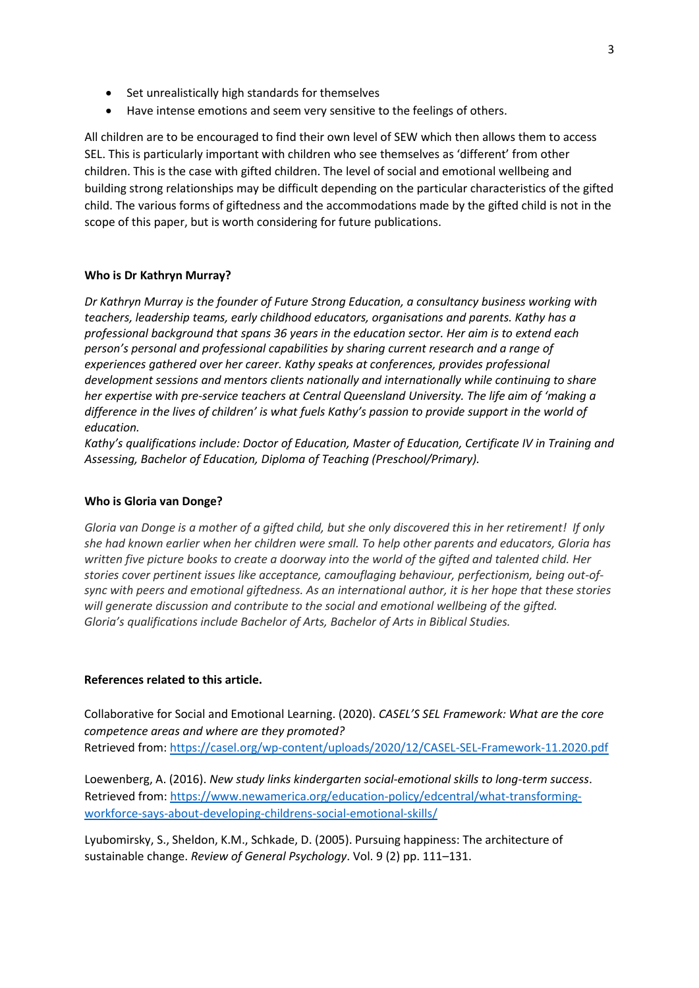- Set unrealistically high standards for themselves
- Have intense emotions and seem very sensitive to the feelings of others.

All children are to be encouraged to find their own level of SEW which then allows them to access SEL. This is particularly important with children who see themselves as 'different' from other children. This is the case with gifted children. The level of social and emotional wellbeing and building strong relationships may be difficult depending on the particular characteristics of the gifted child. The various forms of giftedness and the accommodations made by the gifted child is not in the scope of this paper, but is worth considering for future publications.

### **Who is Dr Kathryn Murray?**

*Dr Kathryn Murray is the founder of Future Strong Education, a consultancy business working with teachers, leadership teams, early childhood educators, organisations and parents. Kathy has a professional background that spans 36 years in the education sector. Her aim is to extend each person's personal and professional capabilities by sharing current research and a range of experiences gathered over her career. Kathy speaks at conferences, provides professional development sessions and mentors clients nationally and internationally while continuing to share her expertise with pre-service teachers at Central Queensland University. The life aim of 'making a difference in the lives of children' is what fuels Kathy's passion to provide support in the world of education.* 

*Kathy's qualifications include: Doctor of Education, Master of Education, Certificate IV in Training and Assessing, Bachelor of Education, Diploma of Teaching (Preschool/Primary).*

### **Who is Gloria van Donge?**

*Gloria van Donge is a mother of a gifted child, but she only discovered this in her retirement! If only she had known earlier when her children were small. To help other parents and educators, Gloria has written five picture books to create a doorway into the world of the gifted and talented child. Her stories cover pertinent issues like acceptance, camouflaging behaviour, perfectionism, being out-ofsync with peers and emotional giftedness. As an international author, it is her hope that these stories will generate discussion and contribute to the social and emotional wellbeing of the gifted. Gloria's qualifications include Bachelor of Arts, Bachelor of Arts in Biblical Studies.* 

### **References related to this article.**

Collaborative for Social and Emotional Learning. (2020). *CASEL'S SEL Framework: What are the core competence areas and where are they promoted?* Retrieved from:<https://casel.org/wp-content/uploads/2020/12/CASEL-SEL-Framework-11.2020.pdf>

Loewenberg, A. (2016). *New study links kindergarten social-emotional skills to long-term success*. Retrieved from: [https://www.newamerica.org/education-policy/edcentral/what-transforming](https://www.newamerica.org/education-policy/edcentral/what-transforming-workforce-says-about-developing-childrens-social-emotional-skills/)[workforce-says-about-developing-childrens-social-emotional-skills/](https://www.newamerica.org/education-policy/edcentral/what-transforming-workforce-says-about-developing-childrens-social-emotional-skills/)

Lyubomirsky, S., Sheldon, K.M., Schkade, D. (2005). Pursuing happiness: The architecture of sustainable change. *Review of General Psychology*. Vol. 9 (2) pp. 111–131.